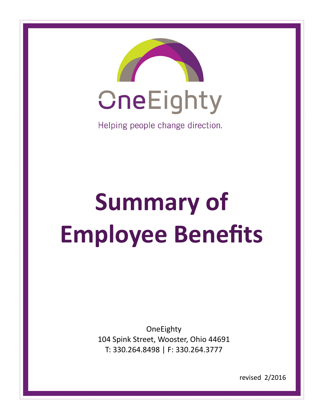

# **Summary of Employee Benefits**

**OneEighty** 104 Spink Street, Wooster, Ohio 44691 T: 330.264.8498 | F: 330.264.3777

revised 2/2016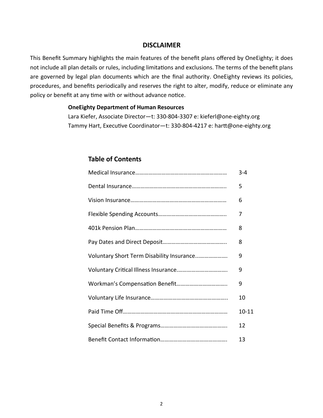#### **DISCLAIMER**

This Benefit Summary highlights the main features of the benefit plans offered by OneEighty; it does not include all plan details or rules, including limitations and exclusions. The terms of the benefit plans are governed by legal plan documents which are the final authority. OneEighty reviews its policies, procedures, and benefits periodically and reserves the right to alter, modify, reduce or eliminate any policy or benefit at any time with or without advance notice.

#### **OneEighty Department of Human Resources**

Lara Kiefer, Associate Director—t: 330-804-3307 e: kieferl@one-eighty.org Tammy Hart, Executive Coordinator—t: 330-804-4217 e: hartt@one-eighty.org

#### **Table of Contents**

|                                           | $3 - 4$   |
|-------------------------------------------|-----------|
|                                           | 5         |
|                                           | 6         |
|                                           | 7         |
|                                           | 8         |
|                                           | 8         |
| Voluntary Short Term Disability Insurance | 9         |
|                                           | 9         |
|                                           | 9         |
|                                           | 10        |
|                                           | $10 - 11$ |
|                                           | 12        |
|                                           | 13        |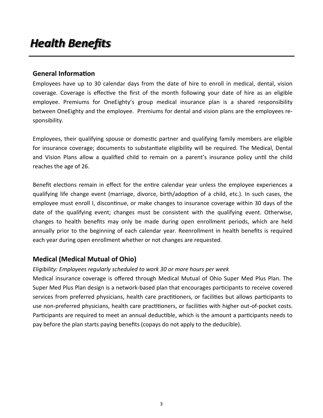# *Health Benefits*

#### **General Information**

Employees have up to 30 calendar days from the date of hire to enroll in medical, dental, vision coverage. Coverage is effective the first of the month following your date of hire as an eligible employee. Premiums for OneEighty's group medical insurance plan is a shared responsibility between OneEighty and the employee. Premiums for dental and vision plans are the employees responsibility.

Employees, their qualifying spouse or domestic partner and qualifying family members are eligible for insurance coverage; documents to substantiate eligibility will be required. The Medical, Dental and Vision Plans allow a qualified child to remain on a parent's insurance policy until the child reaches the age of 26.

Benefit elections remain in effect for the entire calendar year unless the employee experiences a qualifying life change event (marriage, divorce, birth/adoption of a child, etc.). In such cases, the employee must enroll I, discontinue, or make changes to insurance coverage within 30 days of the date of the qualifying event; changes must be consistent with the qualifying event. Otherwise, changes to health benefits may only be made during open enrollment periods, which are held annually prior to the beginning of each calendar year. Reenrollment in health benefits is required each year during open enrollment whether or not changes are requested.

## **Medical (Medical Mutual of Ohio)**

#### *Eligibility: Employees regularly scheduled to work 30 or more hours per week*

Medical insurance coverage is offered through Medical Mutual of Ohio Super Med Plus Plan. The Super Med Plus Plan design is a network-based plan that encourages participants to receive covered services from preferred physicians, health care practitioners, or facilities but allows participants to use non-preferred physicians, health care practitioners, or facilities with higher out-of-pocket costs. Participants are required to meet an annual deductible, which is the amount a participants needs to pay before the plan starts paying benefits (copays do not apply to the deducible).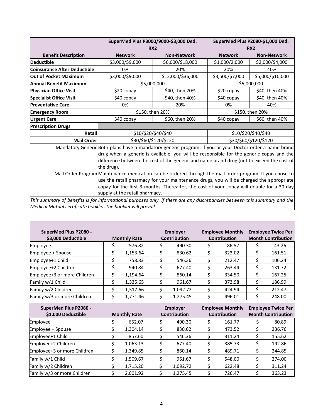|                                                                                                                          |                                                                                         | SuperMed Plus P3000/9000-\$3,000 Ded.                                                                    |                 | SuperMed Plus P2080-\$1,000 Ded. |  |  |  |
|--------------------------------------------------------------------------------------------------------------------------|-----------------------------------------------------------------------------------------|----------------------------------------------------------------------------------------------------------|-----------------|----------------------------------|--|--|--|
|                                                                                                                          |                                                                                         | <b>RX2</b>                                                                                               | RX <sub>2</sub> |                                  |  |  |  |
| <b>Benefit Description</b>                                                                                               | <b>Network</b>                                                                          | <b>Non-Network</b>                                                                                       | <b>Network</b>  | <b>Non-Network</b>               |  |  |  |
| Deductible                                                                                                               | \$3,000/\$9,000                                                                         | \$6,000/\$18,000                                                                                         | \$1,000/2,000   | \$2,000/\$4,000                  |  |  |  |
| Coinsurance After Deductible                                                                                             | 0%                                                                                      | 20%                                                                                                      | 20%             | 40%                              |  |  |  |
| <b>Out of Pocket Maximum</b>                                                                                             | \$3,000/\$9,000                                                                         | \$12,000/\$36,000                                                                                        | \$3,500/\$7,000 | \$5,000/\$10,000                 |  |  |  |
| Annual Benefit Maximum                                                                                                   |                                                                                         | \$5,000,000                                                                                              |                 | \$5,000,000                      |  |  |  |
| <b>Physician Office Visit</b>                                                                                            | \$20 copay                                                                              | \$40, then 20%                                                                                           | \$20 copay      | \$40, then 40%                   |  |  |  |
| <b>Specialist Office Visit</b>                                                                                           | \$40 copay                                                                              | \$40, then 40%                                                                                           | \$40 copay      | \$40, then 40%                   |  |  |  |
| <b>Preventative Care</b>                                                                                                 | 0%                                                                                      | 20%                                                                                                      | 0%              | 40%                              |  |  |  |
| <b>Emergency Room</b>                                                                                                    |                                                                                         | \$150, then 20%                                                                                          | \$150, then 20% |                                  |  |  |  |
| <b>Urgent Care</b>                                                                                                       | \$40 copay                                                                              | \$60, then 20%                                                                                           | \$40 copay      | \$60, then 40%                   |  |  |  |
| <b>Prescription Drugs</b>                                                                                                |                                                                                         |                                                                                                          |                 |                                  |  |  |  |
| <b>Retail</b>                                                                                                            |                                                                                         | \$10/\$20/\$40/\$40                                                                                      |                 | \$10/\$20/\$40/\$40              |  |  |  |
| Mail Order                                                                                                               |                                                                                         | \$30/\$60/\$120/\$120                                                                                    |                 | \$30/\$60/\$120/\$120            |  |  |  |
|                                                                                                                          |                                                                                         | Mandatory Generic Both plans have a mandatory generic program. If you or your Doctor order a name brand  |                 |                                  |  |  |  |
|                                                                                                                          |                                                                                         | drug when a generic is available, you will be responsible for the generic copay and the                  |                 |                                  |  |  |  |
|                                                                                                                          |                                                                                         | difference between the cost of the generic and name brand drug (not to exceed the cost of                |                 |                                  |  |  |  |
|                                                                                                                          | the drug).                                                                              |                                                                                                          |                 |                                  |  |  |  |
|                                                                                                                          |                                                                                         | Mail Order Program Maintenance medication can be ordered through the mail order program. If you chose to |                 |                                  |  |  |  |
|                                                                                                                          | use the retail pharmacy for your maintenance drugs, you will be charged the appropriate |                                                                                                          |                 |                                  |  |  |  |
|                                                                                                                          |                                                                                         | copay for the first 3 months. Thereafter, the cost of your copay will double for a 30 day                |                 |                                  |  |  |  |
| This summary of henefits is for informational nurnoses only. If there are any discrepancies hetween this summary and the | supply at the retail pharmacy.                                                          |                                                                                                          |                 |                                  |  |  |  |

*This summary of benefits is for informational purposes only. If there are any discrepancies between this summary and the Medical Mutual certificate booklet, the booklet will prevail.*

n.

| SuperMed Plus P2080 -<br>\$3,000 Deductible | <b>Monthly Rate</b> | <b>Employer</b><br><b>Contribution</b> |   | <b>Employee Monthly</b><br><b>Contribution</b> | <b>Employee Twice Per</b><br><b>Month Contribution</b> |
|---------------------------------------------|---------------------|----------------------------------------|---|------------------------------------------------|--------------------------------------------------------|
| Employee                                    | 576.82              | 490.30                                 |   | 86.52                                          | 43.26                                                  |
| Employee + Spouse                           | 1,153.64            | 830.62                                 |   | 323.02                                         | 161.51                                                 |
| Employee+1 Child                            | 758.83              | 546.36                                 | S | 212.47                                         | 106.24                                                 |
| Employee+2 Children                         | 940.84              | 677.40                                 | Ś | 263.44                                         | 131.72                                                 |
| Employee+3 or more Children                 | 1,194.64            | 860.14                                 |   | 334.50                                         | 167.25                                                 |
| Family w/1 Child                            | 1,335.65            | 961.67                                 |   | 373.98                                         | 186.99                                                 |
| Family w/2 Children                         | 1,517.66            | 1,092.72                               |   | 424.94                                         | 212.47                                                 |
| Family w/3 or more Children                 | 1,771.46            | 1,275.45                               |   | 496.01                                         | 248.00                                                 |

| SuperMed Plus P2080 -       |                     |                     | <b>Employer</b> |                     | <b>Employee Monthly</b> |                           | <b>Employee Twice Per</b> |
|-----------------------------|---------------------|---------------------|-----------------|---------------------|-------------------------|---------------------------|---------------------------|
| \$1,000 Deductible          | <b>Monthly Rate</b> | <b>Contribution</b> |                 | <b>Contribution</b> |                         | <b>Month Contribution</b> |                           |
| Employee                    | 652.07              |                     | 490.30          |                     | 161.77                  |                           | 80.89                     |
| Employee + Spouse           | 1,304.14            |                     | 830.62          |                     | 473.52                  |                           | 236.76                    |
| Employee+1 Child            | 857.60              |                     | 546.36          |                     | 311.24                  |                           | 155.62                    |
| Employee+2 Children         | 1,063.13            |                     | 677.40          |                     | 385.73                  |                           | 192.86                    |
| Employee+3 or more Children | 1,349.85            |                     | 860.14          |                     | 489.71                  |                           | 244.85                    |
| Family w/1 Child            | 1,509.67            |                     | 961.67          |                     | 548.00                  |                           | 274.00                    |
| Family w/2 Children         | 1,715.20            |                     | 1,092.72        |                     | 622.48                  |                           | 311.24                    |
| Family w/3 or more Children | 2,001.92            |                     | 1,275.45        |                     | 726.47                  |                           | 363.23                    |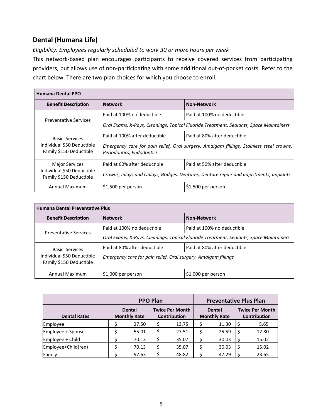## **Dental (Humana Life)**

*Eligibility: Employees regularly scheduled to work 30 or more hours per week*

This network-based plan encourages participants to receive covered services from participating providers, but allows use of non-participating with some additional out-of-pocket costs. Refer to the chart below. There are two plan choices for which you choose to enroll.

| <b>Humana Dental PPO</b>                              |                                                                                                                      |                                                                                        |  |  |  |
|-------------------------------------------------------|----------------------------------------------------------------------------------------------------------------------|----------------------------------------------------------------------------------------|--|--|--|
| <b>Benefit Description</b>                            | <b>Network</b>                                                                                                       | <b>Non-Network</b>                                                                     |  |  |  |
| <b>Preventative Services</b>                          | Paid at 100% no deductible                                                                                           | Paid at 100% no deductible                                                             |  |  |  |
|                                                       | Oral Exams, X-Rays, Cleanings, Topical Fluoride Treatment, Sealants, Space Maintainers                               |                                                                                        |  |  |  |
| <b>Basic Services</b>                                 | Paid at 100% after deductible<br>Paid at 80% after deductible                                                        |                                                                                        |  |  |  |
| Individual \$50 Deductible<br>Family \$150 Deductible | Emergency care for pain relief, Oral surgery, Amalgam fillings, Stainless steel crowns,<br>Periodontics, Endodontics |                                                                                        |  |  |  |
| <b>Major Services</b>                                 | Paid at 60% after deductible                                                                                         | Paid at 50% after deductible                                                           |  |  |  |
| Individual \$50 Deductible<br>Family \$150 Deductible |                                                                                                                      | Crowns, Inlays and Onlays, Bridges, Dentures, Denture repair and adjustments, Implants |  |  |  |
| Annual Maximum                                        | \$1,500 per person                                                                                                   | \$1,500 per person                                                                     |  |  |  |

| <b>Humana Dental Preventative Plus</b>                |                                                                                        |                              |  |  |  |  |
|-------------------------------------------------------|----------------------------------------------------------------------------------------|------------------------------|--|--|--|--|
| <b>Benefit Description</b>                            | <b>Network</b>                                                                         | <b>Non-Network</b>           |  |  |  |  |
| <b>Preventative Services</b>                          | Paid at 100% no deductible                                                             | Paid at 100% no deductible   |  |  |  |  |
|                                                       | Oral Exams, X-Rays, Cleanings, Topical Fluoride Treatment, Sealants, Space Maintainers |                              |  |  |  |  |
| <b>Basic Services</b>                                 | Paid at 80% after deductible                                                           | Paid at 80% after deductible |  |  |  |  |
| Individual \$50 Deductible<br>Family \$150 Deductible | Emergency care for pain relief, Oral surgery, Amalgam fillings                         |                              |  |  |  |  |
| Annual Maximum                                        | \$1,000 per person                                                                     | \$1,000 per person           |  |  |  |  |

|                     | <b>PPO Plan</b>                      |       |                                        |       |                                      | <b>Preventative Plus Plan</b> |                                        |       |
|---------------------|--------------------------------------|-------|----------------------------------------|-------|--------------------------------------|-------------------------------|----------------------------------------|-------|
| <b>Dental Rates</b> | <b>Dental</b><br><b>Monthly Rate</b> |       | <b>Twice Per Month</b><br>Contribution |       | <b>Dental</b><br><b>Monthly Rate</b> |                               | <b>Twice Per Month</b><br>Contribution |       |
| Employee            |                                      | 27.50 |                                        | 13.75 |                                      | 11.30                         | S                                      | 5.65  |
| Employee + Spouse   |                                      | 55.01 |                                        | 27.51 |                                      | 25.59                         |                                        | 12.80 |
| Employee + Child    |                                      | 70.13 |                                        | 35.07 |                                      | 30.03                         | \$.                                    | 15.02 |
| Employee+Child(ren) |                                      | 70.13 |                                        | 35.07 |                                      | 30.03                         | Ş                                      | 15.02 |
| Family              |                                      | 97.63 |                                        | 48.82 |                                      | 47.29                         |                                        | 23.65 |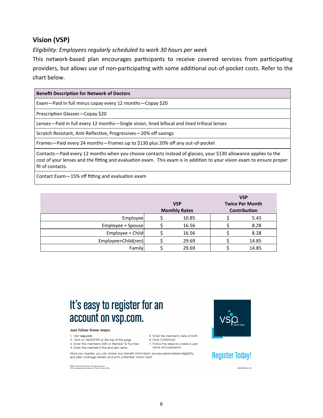## **Vision (VSP)**

*Eligibility: Employees regularly scheduled to work 30 hours per week*

This network-based plan encourages participants to receive covered services from participating providers, but allows use of non-participating with some additional out-of-pocket costs. Refer to the chart below.

| <b>Benefit Description for Network of Doctors</b>                                                                                                                                                                                                            |
|--------------------------------------------------------------------------------------------------------------------------------------------------------------------------------------------------------------------------------------------------------------|
| Exam-Paid in full minus copay every 12 months-Copay \$20                                                                                                                                                                                                     |
| Prescription Glasses-Copay \$20                                                                                                                                                                                                                              |
| Lenses—Paid in full every 12 months—Single vision, lined bifocal and lined trifocal lenses                                                                                                                                                                   |
| Scratch Resistant, Anti-Reflective, Progressives–20% off savings                                                                                                                                                                                             |
| Frames-Paid every 24 months-Frames up to \$130 plus 20% off any out-of-pocket                                                                                                                                                                                |
| Contacts—Paid every 12 months when you choose contacts instead of glasses, your \$130 allowance applies to the<br>cost of your lenses and the fitting and evaluation exam. This exam is in addition to your vision exam to ensure proper<br>fit of contacts. |
| Contact Evam - 15% off fitting and evaluation evam                                                                                                                                                                                                           |

 $\cdot$ 15% off fitting and evaluation exam

|                     | <b>VSP</b><br><b>Monthly Rates</b> | <b>VSP</b><br><b>Twice Per Month</b><br><b>Contribution</b> |
|---------------------|------------------------------------|-------------------------------------------------------------|
| Employee            | 10.85                              | 5.43                                                        |
| Employee + Spouse   | 16.56                              | 8.28                                                        |
| Employee + Child    | 16.56                              | 8.28                                                        |
| Employee+Child(ren) | 29.69                              | 14.85                                                       |
| Family              | 29.69                              | 14.85                                                       |

# It's easy to register for an account on vsp.com.

#### Just follow these steps:

- 1. Visit vsp.com
- 2. Click on REGISTER at the top of the page
- 3. Enter the member's SSN or Member ID Number 4. Enter the member's first and last name

Once you register, you can review your benefit information, access personalized eligibility and plan coverage details, and print a Member Vision Card.

©2015 Vision Service Plan. All rights reserved.<br>VSP is a registered trademark of Vision Service Plan.



# **Register Today!**

JOB#19981CM 2/15

5. Enter the member's date of birth

7. Follow the steps to create a user

6. Click CONTINUE

name and password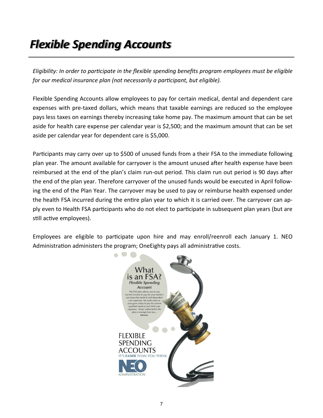# *Flexible Spending Accounts*

*Eligibility: In order to participate in the flexible spending benefits program employees must be eligible for our medical insurance plan (not necessarily a participant, but eligible).*

Flexible Spending Accounts allow employees to pay for certain medical, dental and dependent care expenses with pre-taxed dollars, which means that taxable earnings are reduced so the employee pays less taxes on earnings thereby increasing take home pay. The maximum amount that can be set aside for health care expense per calendar year is \$2,500; and the maximum amount that can be set aside per calendar year for dependent care is \$5,000.

Participants may carry over up to \$500 of unused funds from a their FSA to the immediate following plan year. The amount available for carryover is the amount unused after health expense have been reimbursed at the end of the plan's claim run-out period. This claim run out period is 90 days after the end of the plan year. Therefore carryover of the unused funds would be executed in April following the end of the Plan Year. The carryover may be used to pay or reimburse health expensed under the health FSA incurred during the entire plan year to which it is carried over. The carryover can apply even to Health FSA participants who do not elect to participate in subsequent plan years (but are still active employees).

Employees are eligible to participate upon hire and may enroll/reenroll each January 1. NEO Administration administers the program; OneEighty pays all administrative costs.

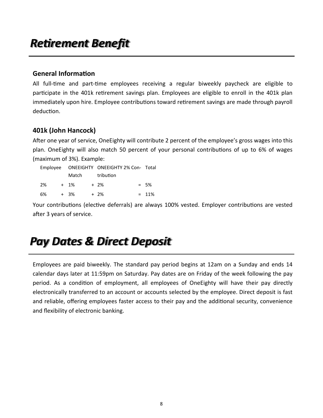# *Retirement Benefit*

#### **General Information**

All full-time and part-time employees receiving a regular biweekly paycheck are eligible to participate in the 401k retirement savings plan. Employees are eligible to enroll in the 401k plan immediately upon hire. Employee contributions toward retirement savings are made through payroll deduction.

## **401k (John Hancock)**

After one year of service, OneEighty will contribute 2 percent of the employee's gross wages into this plan. OneEighty will also match 50 percent of your personal contributions of up to 6% of wages (maximum of 3%). Example:

|     |       |  | Employee ONEEIGHTY ONEEIGHTY 2% Con- Total |  |          |
|-----|-------|--|--------------------------------------------|--|----------|
|     | Match |  | tribution                                  |  |          |
| -2% | + 1%  |  | + 2%                                       |  | $= 5\%$  |
| 6%  | + 3%  |  | $+2\%$                                     |  | $= 11\%$ |

Your contributions (elective deferrals) are always 100% vested. Employer contributions are vested after 3 years of service.

# *Pay Dates & Direct Deposit*

Employees are paid biweekly. The standard pay period begins at 12am on a Sunday and ends 14 calendar days later at 11:59pm on Saturday. Pay dates are on Friday of the week following the pay period. As a condition of employment, all employees of OneEighty will have their pay directly electronically transferred to an account or accounts selected by the employee. Direct deposit is fast and reliable, offering employees faster access to their pay and the additional security, convenience and flexibility of electronic banking.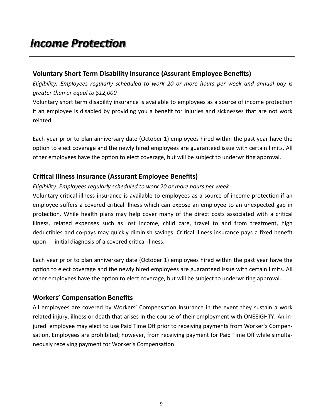## **Voluntary Short Term Disability Insurance (Assurant Employee Benefits)**

*Eligibility: Employees regularly scheduled to work 20 or more hours per week and annual pay is greater than or equal to \$12,000*

Voluntary short term disability insurance is available to employees as a source of income protection if an employee is disabled by providing you a benefit for injuries and sicknesses that are not work related.

Each year prior to plan anniversary date (October 1) employees hired within the past year have the option to elect coverage and the newly hired employees are guaranteed issue with certain limits. All other employees have the option to elect coverage, but will be subject to underwriting approval.

## **Critical Illness Insurance (Assurant Employee Benefits)**

#### *Eligibility: Employees regularly scheduled to work 20 or more hours per week*

Voluntary critical illness insurance is available to employees as a source of income protection if an employee suffers a covered critical illness which can expose an employee to an unexpected gap in protection. While health plans may help cover many of the direct costs associated with a critical illness, related expenses such as lost income, child care, travel to and from treatment, high deductibles and co-pays may quickly diminish savings. Critical illness insurance pays a fixed benefit upon initial diagnosis of a covered critical illness.

Each year prior to plan anniversary date (October 1) employees hired within the past year have the option to elect coverage and the newly hired employees are guaranteed issue with certain limits. All other employees have the option to elect coverage, but will be subject to underwriting approval.

## **Workers' Compensation Benefits**

All employees are covered by Workers' Compensation insurance in the event they sustain a work related injury, illness or death that arises in the course of their employment with ONEEIGHTY. An injured employee may elect to use Paid Time Off prior to receiving payments from Worker's Compensation. Employees are prohibited; however, from receiving payment for Paid Time Off while simultaneously receiving payment for Worker's Compensation.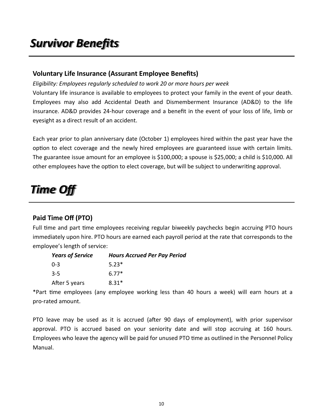# *Survivor Benefits*

#### **Voluntary Life Insurance (Assurant Employee Benefits)**

#### *Eligibility: Employees regularly scheduled to work 20 or more hours per week*

Voluntary life insurance is available to employees to protect your family in the event of your death. Employees may also add Accidental Death and Dismemberment Insurance (AD&D) to the life insurance. AD&D provides 24-hour coverage and a benefit in the event of your loss of life, limb or eyesight as a direct result of an accident.

Each year prior to plan anniversary date (October 1) employees hired within the past year have the option to elect coverage and the newly hired employees are guaranteed issue with certain limits. The guarantee issue amount for an employee is \$100,000; a spouse is \$25,000; a child is \$10,000. All other employees have the option to elect coverage, but will be subject to underwriting approval.

# *Time Off*

## **Paid Time Off (PTO)**

Full time and part time employees receiving regular biweekly paychecks begin accruing PTO hours immediately upon hire. PTO hours are earned each payroll period at the rate that corresponds to the employee's length of service:

| <b>Years of Service</b> | <b>Hours Accrued Per Pay Period</b> |
|-------------------------|-------------------------------------|
| $0 - 3$                 | $5.23*$                             |
| $3 - 5$                 | $6.77*$                             |
| After 5 years           | $8.31*$                             |

\*Part time employees (any employee working less than 40 hours a week) will earn hours at a pro-rated amount.

PTO leave may be used as it is accrued (after 90 days of employment), with prior supervisor approval. PTO is accrued based on your seniority date and will stop accruing at 160 hours. Employees who leave the agency will be paid for unused PTO time as outlined in the Personnel Policy Manual.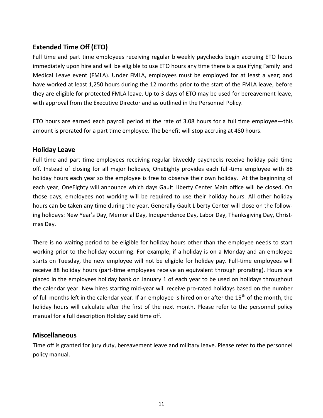## **Extended Time Off (ETO)**

Full time and part time employees receiving regular biweekly paychecks begin accruing ETO hours immediately upon hire and will be eligible to use ETO hours any time there is a qualifying Family and Medical Leave event (FMLA). Under FMLA, employees must be employed for at least a year; and have worked at least 1,250 hours during the 12 months prior to the start of the FMLA leave, before they are eligible for protected FMLA leave. Up to 3 days of ETO may be used for bereavement leave, with approval from the Executive Director and as outlined in the Personnel Policy.

ETO hours are earned each payroll period at the rate of 3.08 hours for a full time employee—this amount is prorated for a part time employee. The benefit will stop accruing at 480 hours.

#### **Holiday Leave**

Full time and part time employees receiving regular biweekly paychecks receive holiday paid time off. Instead of closing for all major holidays, OneEighty provides each full-time employee with 88 holiday hours each year so the employee is free to observe their own holiday. At the beginning of each year, OneEighty will announce which days Gault Liberty Center Main office will be closed. On those days, employees not working will be required to use their holiday hours. All other holiday hours can be taken any time during the year. Generally Gault Liberty Center will close on the following holidays: New Year's Day, Memorial Day, Independence Day, Labor Day, Thanksgiving Day, Christmas Day.

There is no waiting period to be eligible for holiday hours other than the employee needs to start working prior to the holiday occurring. For example, if a holiday is on a Monday and an employee starts on Tuesday, the new employee will not be eligible for holiday pay. Full-time employees will receive 88 holiday hours (part-time employees receive an equivalent through prorating). Hours are placed in the employees holiday bank on January 1 of each year to be used on holidays throughout the calendar year. New hires starting mid-year will receive pro-rated holidays based on the number of full months left in the calendar year. If an employee is hired on or after the 15<sup>th</sup> of the month, the holiday hours will calculate after the first of the next month. Please refer to the personnel policy manual for a full description Holiday paid time off.

#### **Miscellaneous**

Time off is granted for jury duty, bereavement leave and military leave. Please refer to the personnel policy manual.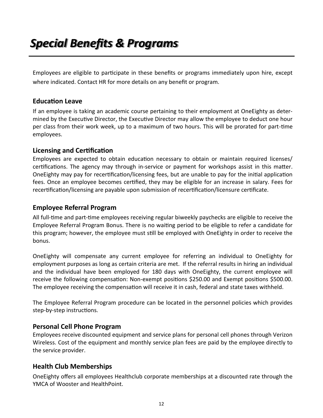# *Special Benefits & Programs*

Employees are eligible to participate in these benefits or programs immediately upon hire, except where indicated. Contact HR for more details on any benefit or program.

#### **Education Leave**

If an employee is taking an academic course pertaining to their employment at OneEighty as determined by the Executive Director, the Executive Director may allow the employee to deduct one hour per class from their work week, up to a maximum of two hours. This will be prorated for part-time employees.

#### **Licensing and Certification**

Employees are expected to obtain education necessary to obtain or maintain required licenses/ certifications. The agency may through in-service or payment for workshops assist in this matter. OneEighty may pay for recertification/licensing fees, but are unable to pay for the initial application fees. Once an employee becomes certified, they may be eligible for an increase in salary. Fees for recertification/licensing are payable upon submission of recertification/licensure certificate.

#### **Employee Referral Program**

All full-time and part-time employees receiving regular biweekly paychecks are eligible to receive the Employee Referral Program Bonus. There is no waiting period to be eligible to refer a candidate for this program; however, the employee must still be employed with OneEighty in order to receive the bonus.

OneEighty will compensate any current employee for referring an individual to OneEighty for employment purposes as long as certain criteria are met. If the referral results in hiring an individual and the individual have been employed for 180 days with OneEighty, the current employee will receive the following compensation: Non-exempt positions \$250.00 and Exempt positions \$500.00. The employee receiving the compensation will receive it in cash, federal and state taxes withheld.

The Employee Referral Program procedure can be located in the personnel policies which provides step-by-step instructions.

#### **Personal Cell Phone Program**

Employees receive discounted equipment and service plans for personal cell phones through Verizon Wireless. Cost of the equipment and monthly service plan fees are paid by the employee directly to the service provider.

## **Health Club Memberships**

OneEighty offers all employees Healthclub corporate memberships at a discounted rate through the YMCA of Wooster and HealthPoint.